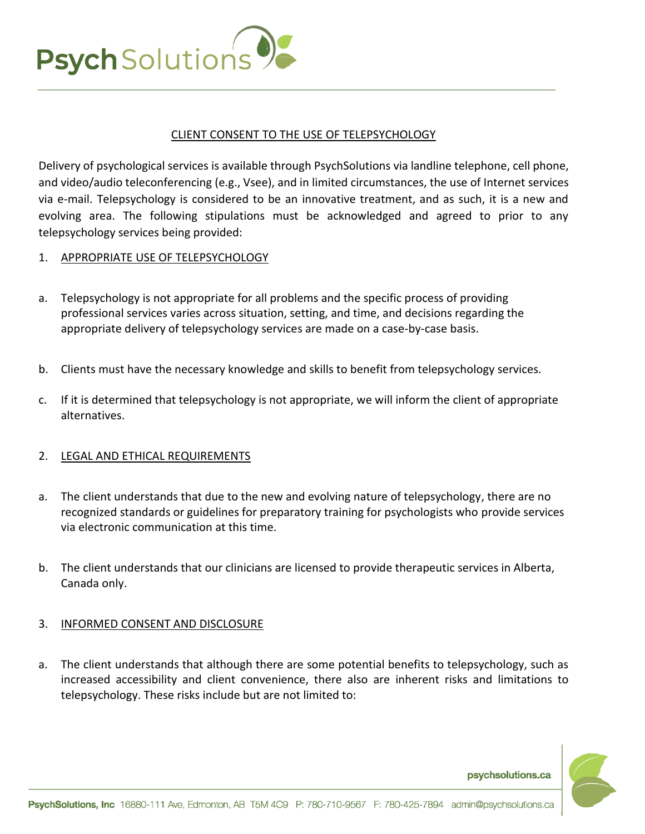

## CLIENT CONSENT TO THE USE OF TELEPSYCHOLOGY

Delivery of psychological services is available through PsychSolutions via landline telephone, cell phone, and video/audio teleconferencing (e.g., Vsee), and in limited circumstances, the use of Internet services via e-mail. Telepsychology is considered to be an innovative treatment, and as such, it is a new and evolving area. The following stipulations must be acknowledged and agreed to prior to any telepsychology services being provided:

## 1. APPROPRIATE USE OF TELEPSYCHOLOGY

- a. Telepsychology is not appropriate for all problems and the specific process of providing professional services varies across situation, setting, and time, and decisions regarding the appropriate delivery of telepsychology services are made on a case-by-case basis.
- b. Clients must have the necessary knowledge and skills to benefit from telepsychology services.
- c. If it is determined that telepsychology is not appropriate, we will inform the client of appropriate alternatives.

## 2. LEGAL AND ETHICAL REQUIREMENTS

- a. The client understands that due to the new and evolving nature of telepsychology, there are no recognized standards or guidelines for preparatory training for psychologists who provide services via electronic communication at this time.
- b. The client understands that our clinicians are licensed to provide therapeutic services in Alberta, Canada only.

## 3. INFORMED CONSENT AND DISCLOSURE

a. The client understands that although there are some potential benefits to telepsychology, such as increased accessibility and client convenience, there also are inherent risks and limitations to telepsychology. These risks include but are not limited to:



psychsolutions.ca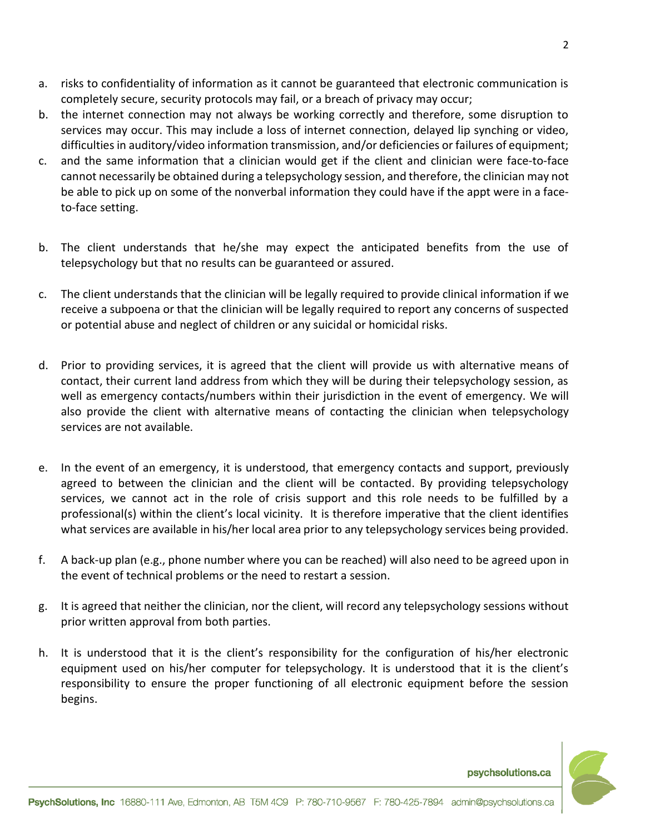- a. risks to confidentiality of information as it cannot be guaranteed that electronic communication is completely secure, security protocols may fail, or a breach of privacy may occur;
- b. the internet connection may not always be working correctly and therefore, some disruption to services may occur. This may include a loss of internet connection, delayed lip synching or video, difficulties in auditory/video information transmission, and/or deficiencies or failures of equipment;
- c. and the same information that a clinician would get if the client and clinician were face-to-face cannot necessarily be obtained during a telepsychology session, and therefore, the clinician may not be able to pick up on some of the nonverbal information they could have if the appt were in a faceto-face setting.
- b. The client understands that he/she may expect the anticipated benefits from the use of telepsychology but that no results can be guaranteed or assured.
- c. The client understands that the clinician will be legally required to provide clinical information if we receive a subpoena or that the clinician will be legally required to report any concerns of suspected or potential abuse and neglect of children or any suicidal or homicidal risks.
- d. Prior to providing services, it is agreed that the client will provide us with alternative means of contact, their current land address from which they will be during their telepsychology session, as well as emergency contacts/numbers within their jurisdiction in the event of emergency. We will also provide the client with alternative means of contacting the clinician when telepsychology services are not available.
- e. In the event of an emergency, it is understood, that emergency contacts and support, previously agreed to between the clinician and the client will be contacted. By providing telepsychology services, we cannot act in the role of crisis support and this role needs to be fulfilled by a professional(s) within the client's local vicinity. It is therefore imperative that the client identifies what services are available in his/her local area prior to any telepsychology services being provided.
- f. A back-up plan (e.g., phone number where you can be reached) will also need to be agreed upon in the event of technical problems or the need to restart a session.
- g. It is agreed that neither the clinician, nor the client, will record any telepsychology sessions without prior written approval from both parties.
- h. It is understood that it is the client's responsibility for the configuration of his/her electronic equipment used on his/her computer for telepsychology. It is understood that it is the client's responsibility to ensure the proper functioning of all electronic equipment before the session begins.



psychsolutions.ca